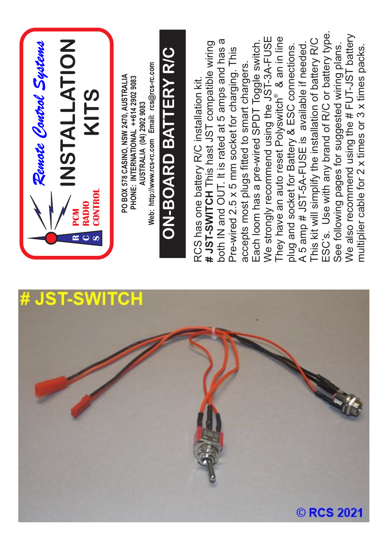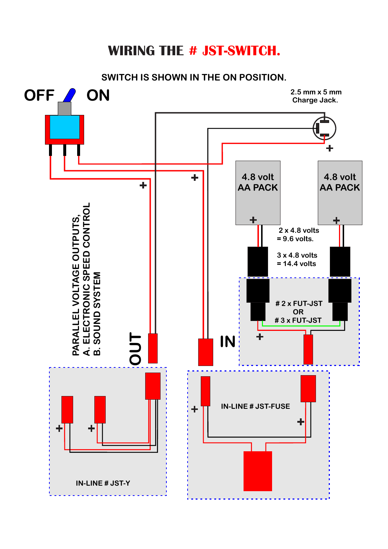## **WIRING THE # JST-SWITCH.**

**SWITCH IS SHOWN IN THE ON POSITION.**

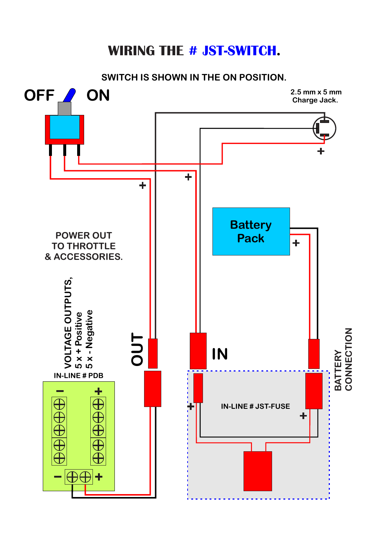## **WIRING THE # JST-SWITCH.**

**SWITCH IS SHOWN IN THE ON POSITION.**